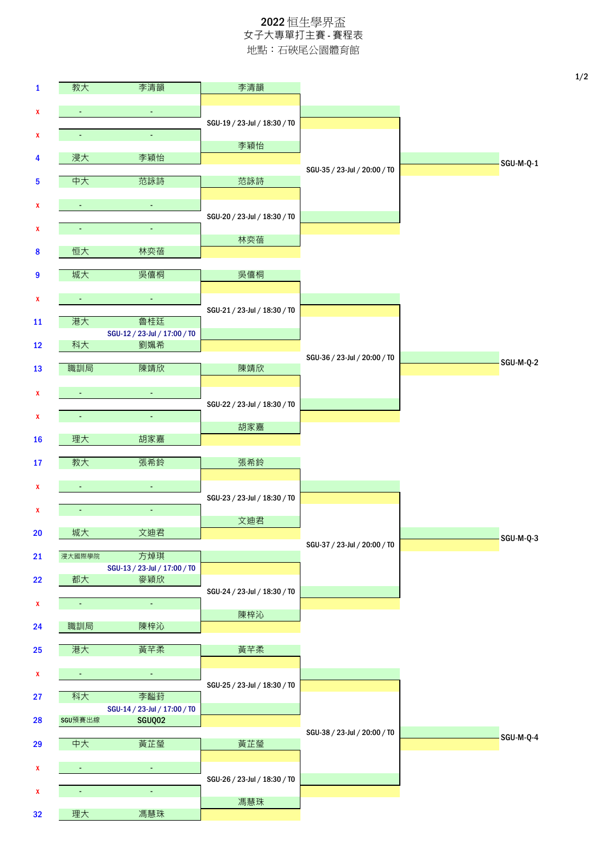## 2022 恒生學界盃 女子大專單打主賽 - 賽程表 地點:石硤尾公園體育館

| $\mathbf{1}$ | 教大             | 李清韻                                 | 李清韻                          |                              |           |  |
|--------------|----------------|-------------------------------------|------------------------------|------------------------------|-----------|--|
| x            | $\blacksquare$ | $\blacksquare$                      |                              |                              |           |  |
| x            | $\blacksquare$ | $\Box$                              | SGU-19 / 23-Jul / 18:30 / T0 |                              |           |  |
|              |                |                                     | 李穎怡                          |                              |           |  |
| 4            | 浸大             | 李穎怡                                 |                              | SGU-35 / 23-Jul / 20:00 / T0 | SGU-M-Q-1 |  |
| 5            | 中大             | 范詠詩                                 | 范詠詩                          |                              |           |  |
| X            | $\blacksquare$ | $\blacksquare$                      |                              |                              |           |  |
|              |                | ä,                                  | SGU-20 / 23-Jul / 18:30 / T0 |                              |           |  |
| x            |                |                                     | 林奕蓓                          |                              |           |  |
| $\pmb{8}$    | 恒大             | 林奕蓓                                 |                              |                              |           |  |
| 9            | 城大             | 吳僖桐                                 | 吳僖桐                          |                              |           |  |
| x            | $\blacksquare$ | $\blacksquare$                      |                              |                              |           |  |
|              |                |                                     | SGU-21 / 23-Jul / 18:30 / T0 |                              |           |  |
| 11           | 港大             | 魯桂廷<br>SGU-12 / 23-Jul / 17:00 / T0 |                              |                              |           |  |
| 12           | 科大             | 劉姵希                                 |                              |                              |           |  |
| 13           | 職訓局            | 陳靖欣                                 | 陳靖欣                          | SGU-36 / 23-Jul / 20:00 / T0 | SGU-M-Q-2 |  |
|              |                |                                     |                              |                              |           |  |
| X            | $\blacksquare$ | $\Box$                              | SGU-22 / 23-Jul / 18:30 / T0 |                              |           |  |
| x            | $\omega$       | $\omega_{\rm c}$                    |                              |                              |           |  |
| 16           | 理大             | 胡家嘉                                 | 胡家嘉                          |                              |           |  |
|              |                |                                     |                              |                              |           |  |
| 17           | 教大             | 張希鈴                                 | 張希鈴                          |                              |           |  |
| x            |                | $\blacksquare$                      | SGU-23 / 23-Jul / 18:30 / T0 |                              |           |  |
| x            |                | $\blacksquare$                      |                              |                              |           |  |
| $20\,$       | 城大             | 文迪君                                 | 文迪君                          |                              |           |  |
|              |                |                                     |                              | SGU-37 / 23-Jul / 20:00 / T0 | SGU-M-Q-3 |  |
| 21           | 浸大國際學院         | 方焯琪<br>SGU-13 / 23-Jul / 17:00 / TO |                              |                              |           |  |
| 22           | 都大             | 麥穎欣                                 |                              |                              |           |  |
| X            | $\blacksquare$ | $\omega$                            | SGU-24 / 23-Jul / 18:30 / T0 |                              |           |  |
|              |                |                                     | 陳梓沁                          |                              |           |  |
| 24           | 職訓局            | 陳梓沁                                 |                              |                              |           |  |
| 25           | 港大             | 黃芊柔                                 | 黃芊柔                          |                              |           |  |
| x            | $\blacksquare$ | $\blacksquare$                      |                              |                              |           |  |
| 27           | 科大             | 李齸葑                                 | SGU-25 / 23-Jul / 18:30 / T0 |                              |           |  |
|              |                | SGU-14 / 23-Jul / 17:00 / T0        |                              |                              |           |  |
| 28           | SGU預賽出線        | SGUQ02                              |                              | SGU-38 / 23-Jul / 20:00 / T0 |           |  |
| 29           | 中大             | 黃芷瑩                                 | 黃芷瑩                          |                              | SGU-M-Q-4 |  |
| X            | ÷              | $\omega$                            |                              |                              |           |  |
|              |                |                                     | SGU-26 / 23-Jul / 18:30 / T0 |                              |           |  |
| X            | $\sim$         | ä,                                  | 馮慧珠                          |                              |           |  |
| 32           | 理大             | 馮慧珠                                 |                              |                              |           |  |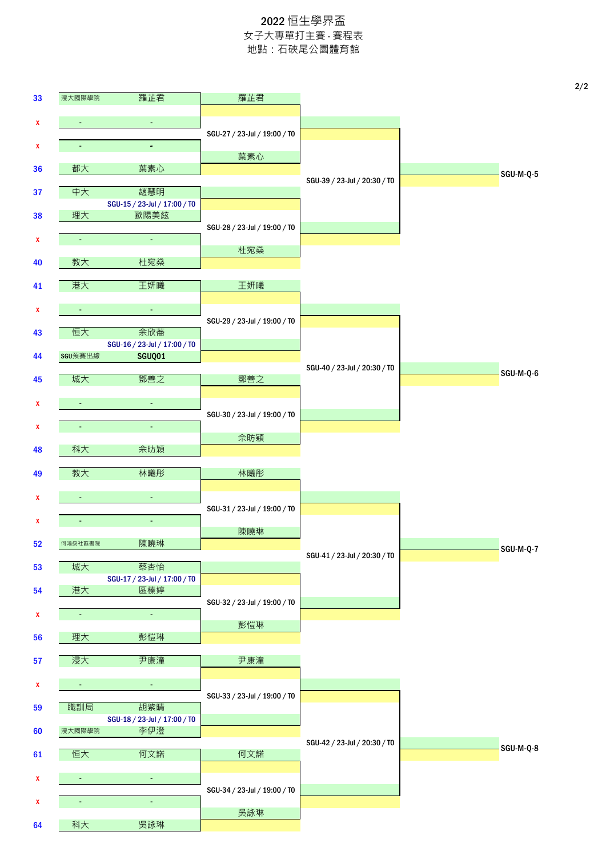## 2022 恒生學界盃 女子大專單打主賽 - 賽程表 地點:石硤尾公園體育館

| 33 | 浸大國際學院         | 羅芷君                                 | 羅芷君                          |                              |  |
|----|----------------|-------------------------------------|------------------------------|------------------------------|--|
|    |                | $\blacksquare$                      |                              |                              |  |
| x  |                |                                     | SGU-27 / 23-Jul / 19:00 / T0 |                              |  |
| x  | $\blacksquare$ | $\omega$                            |                              |                              |  |
| 36 | 都大             | 葉素心                                 | 葉素心                          |                              |  |
|    |                |                                     |                              | SGU-39 / 23-Jul / 20:30 / T0 |  |
| 37 | 中大             | 趙慧明<br>SGU-15 / 23-Jul / 17:00 / T0 |                              |                              |  |
| 38 | 理大             | 歐陽美絃                                |                              |                              |  |
|    |                |                                     | SGU-28 / 23-Jul / 19:00 / T0 |                              |  |
| X  | $\blacksquare$ | $\omega$                            | 杜宛燊                          |                              |  |
| 40 | 教大             | 杜宛燊                                 |                              |                              |  |
| 41 | 港大             | 王妍曦                                 | 王妍曦                          |                              |  |
|    |                |                                     |                              |                              |  |
| x  | ÷              | $\blacksquare$                      |                              |                              |  |
| 43 | 恒大             | 余欣蕎                                 | SGU-29 / 23-Jul / 19:00 / T0 |                              |  |
|    |                | SGU-16 / 23-Jul / 17:00 / TO        |                              |                              |  |
| 44 | SGU預賽出線        | SGUQ01                              |                              | SGU-40 / 23-Jul / 20:30 / T0 |  |
| 45 | 城大             | 鄧善之                                 | 鄧善之                          |                              |  |
|    |                |                                     |                              |                              |  |
| X  | $\blacksquare$ | $\blacksquare$                      | SGU-30 / 23-Jul / 19:00 / T0 |                              |  |
| x  | $\blacksquare$ | $\blacksquare$                      |                              |                              |  |
| 48 | 科大             | 佘昉穎                                 | 佘昉穎                          |                              |  |
|    |                |                                     |                              |                              |  |
| 49 | 教大             | 林曦彤                                 | 林曦彤                          |                              |  |
| x  | $\sim$         | $\blacksquare$                      |                              |                              |  |
|    |                |                                     | SGU-31 / 23-Jul / 19:00 / T0 |                              |  |
| X  |                | $\blacksquare$                      | 陳曉琳                          |                              |  |
| 52 | 何鴻燊社區書院        | 陳曉琳                                 |                              |                              |  |
|    | 城大             | 蔡杏怡                                 |                              | SGU-41 / 23-Jul / 20:30 / T0 |  |
| 53 |                | SGU-17 / 23-Jul / 17:00 / T0        |                              |                              |  |
| 54 | 港大             | 區榛婷                                 |                              |                              |  |
| X  | $\blacksquare$ | $\omega$                            | SGU-32 / 23-Jul / 19:00 / T0 |                              |  |
|    |                |                                     | 彭愷琳                          |                              |  |
| 56 | 理大             | 彭愷琳                                 |                              |                              |  |
| 57 | 浸大             | 尹康潼                                 | 尹康潼                          |                              |  |
|    |                |                                     |                              |                              |  |
| x  | ÷              | $\blacksquare$                      | SGU-33 / 23-Jul / 19:00 / T0 |                              |  |
| 59 | 職訓局            | 胡紫睛                                 |                              |                              |  |
| 60 | 浸大國際學院         | SGU-18 / 23-Jul / 17:00 / T0<br>李伊澄 |                              |                              |  |
|    |                |                                     |                              | SGU-42 / 23-Jul / 20:30 / T0 |  |
| 61 | 恒大             | 何文諾                                 | 何文諾                          |                              |  |
| X  | ÷              | $\blacksquare$                      |                              |                              |  |
|    |                |                                     | SGU-34 / 23-Jul / 19:00 / T0 |                              |  |
|    |                | ٠                                   |                              |                              |  |
| X  |                |                                     |                              |                              |  |
| 64 | 科大             | 吳詠琳                                 | 吳詠琳                          |                              |  |